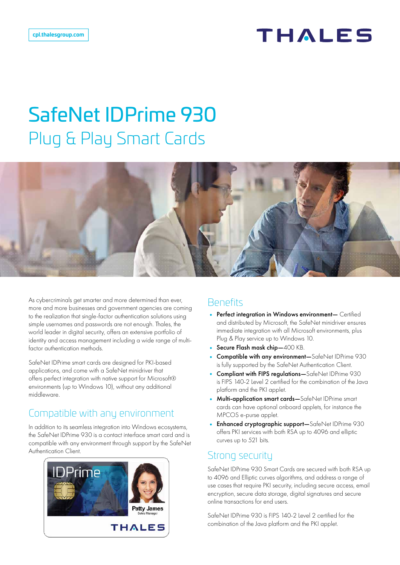# THALES

# SafeNet IDPrime 930 Plug & Play Smart Cards



As cybercriminals get smarter and more determined than ever, more and more businesses and government agencies are coming to the realization that single-factor authentication solutions using simple usernames and passwords are not enough. Thales, the world leader in digital security, offers an extensive portfolio of identity and access management including a wide range of multifactor authentication methods.

SafeNet IDPrime smart cards are designed for PKI-based applications, and come with a SafeNet minidriver that offers perfect integration with native support for Microsoft® environments (up to Windows 10), without any additional middleware.

#### Compatible with any environment

In addition to its seamless integration into Windows ecosystems, the SafeNet IDPrime 930 is a contact interface smart card and is compatible with any environment through support by the SafeNet Authentication Client.



#### **Benefits**

- Perfect integration in Windows environment- Certified and distributed by Microsoft, the SafeNet minidriver ensures immediate integration with all Microsoft environments, plus Plug & Play service up to Windows 10.
- Secure Flash mask chip-400 KB.
- Compatible with any environment—SafeNet IDPrime 930 is fully supported by the SafeNet Authentication Client.
- Compliant with FIPS regulations-SafeNet IDPrime 930 is FIPS 140-2 Level 2 certified for the combination of the Java platform and the PKI applet.
- Multi-application smart cards—SafeNet IDPrime smart cards can have optional onboard applets, for instance the MPCOS e-purse applet.
- Enhanced cryptographic support—SafeNet IDPrime 930 offers PKI services with both RSA up to 4096 and elliptic curves up to 521 bits.

#### Strong security

SafeNet IDPrime 930 Smart Cards are secured with both RSA up to 4096 and Elliptic curves algorithms, and address a range of use cases that require PKI security, including secure access, email encryption, secure data storage, digital signatures and secure online transactions for end users.

SafeNet IDPrime 930 is FIPS 140-2 Level 2 certified for the combination of the Java platform and the PKI applet.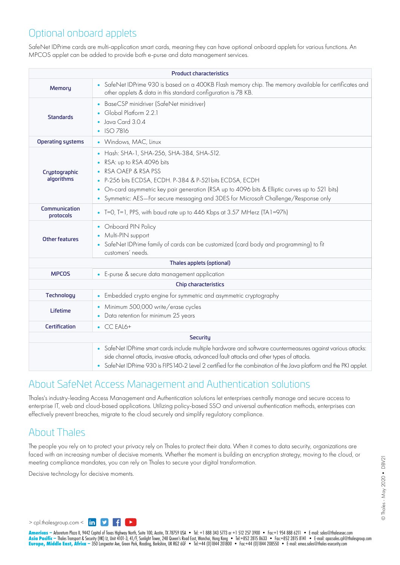#### Optional onboard applets

SafeNet IDPrime cards are multi-application smart cards, meaning they can have optional onboard applets for various functions. An MPCOS applet can be added to provide both e-purse and data management services.

| <b>Product characteristics</b> |                                                                                                                                                                                                                                                                                                                                              |  |
|--------------------------------|----------------------------------------------------------------------------------------------------------------------------------------------------------------------------------------------------------------------------------------------------------------------------------------------------------------------------------------------|--|
| Memory                         | • SafeNet IDPrime 930 is based on a 400KB Flash memory chip. The memory available for certificates and<br>other applets & data in this standard configuration is 78 KB.                                                                                                                                                                      |  |
| <b>Standards</b>               | BaseCSP minidriver (SafeNet minidriver)<br>Global Platform 2.2.1<br>Java Card 3.0.4<br>• ISO 7816                                                                                                                                                                                                                                            |  |
| <b>Operating systems</b>       | • Windows, MAC, Linux                                                                                                                                                                                                                                                                                                                        |  |
| Cryptographic<br>algorithms    | • Hash: SHA-1, SHA-256, SHA-384, SHA-512.<br>RSA: up to RSA 4096 bits<br>RSA OAEP & RSA PSS<br>P-256 bits ECDSA, ECDH. P-384 & P-521 bits ECDSA, ECDH<br>On-card asymmetric key pair generation (RSA up to 4096 bits & Elliptic curves up to 521 bits)<br>Symmetric: AES-For secure messaging and 3DES for Microsoft Challenge/Response only |  |
| Communication<br>protocols     | • T=0, T=1, PPS, with baud rate up to 446 Kbps at 3.57 MHerz (TA1=97h)                                                                                                                                                                                                                                                                       |  |
| <b>Other features</b>          | • Onboard PIN Policy<br>• Multi-PIN support<br>• SafeNet IDPrime family of cards can be customized (card body and programming) to fit<br>customers' needs.                                                                                                                                                                                   |  |
| Thales applets (optional)      |                                                                                                                                                                                                                                                                                                                                              |  |
| <b>MPCOS</b>                   | • E-purse & secure data management application                                                                                                                                                                                                                                                                                               |  |
| <b>Chip characteristics</b>    |                                                                                                                                                                                                                                                                                                                                              |  |
| <b>Technology</b>              | • Embedded crypto engine for symmetric and asymmetric cryptography                                                                                                                                                                                                                                                                           |  |
| Lifetime                       | Minimum 500,000 write/erase cycles<br>• Data retention for minimum 25 years                                                                                                                                                                                                                                                                  |  |
| <b>Certification</b>           | $\bullet$ CC EAL6+                                                                                                                                                                                                                                                                                                                           |  |
| <b>Security</b>                |                                                                                                                                                                                                                                                                                                                                              |  |
|                                | • SafeNet IDPrime smart cards include multiple hardware and software countermeasures against various attacks:<br>side channel attacks, invasive attacks, advanced fault attacks and other types of attacks.<br>• SafeNet IDPrime 930 is FIPS 140-2 Level 2 certified for the combination of the Java platform and the PKI applet.            |  |

#### About SafeNet Access Management and Authentication solutions

Thales's industry-leading Access Management and Authentication solutions let enterprises centrally manage and secure access to enterprise IT, web and cloud-based applications. Utilizing policy-based SSO and universal authentication methods, enterprises can effectively prevent breaches, migrate to the cloud securely and simplify regulatory compliance.

#### About Thales

The people you rely on to protect your privacy rely on Thales to protect their data. When it comes to data security, organizations are faced with an increasing number of decisive moments. Whether the moment is building an encryption strategy, moving to the cloud, or meeting compliance mandates, you can rely on Thales to secure your digital transformation.

Decisive technology for decisive moments.

© Thales - May 2020 • DBV21 © Thales - May 2020• DBV21

[> cpl.thalesgroup.com <](https://www.thalesesecurity.com/thales-gemalto) in  $\mathbf{y}$  f  $\mathbf{r}$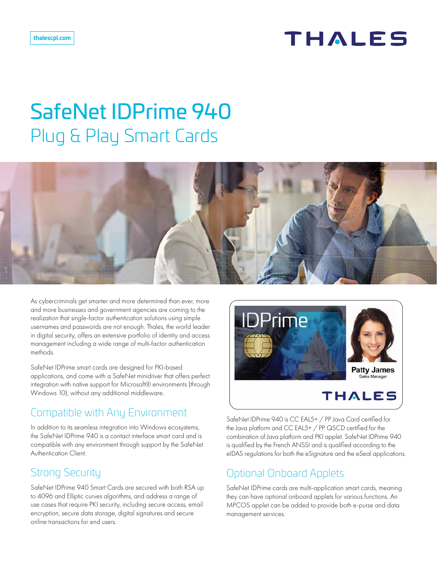### THALES

# SafeNet IDPrime 940 Plug & Play Smart Cards



As cybercriminals get smarter and more determined than ever, more and more businesses and government agencies are coming to the realization that single-factor authentication solutions using simple usernames and passwords are not enough. Thales, the world leader in digital security, offers an extensive portfolio of identity and access management including a wide range of multi-factor authentication methods.

SafeNet IDPrime smart cards are designed for PKI-based applications, and come with a SafeNet minidriver that offers perfect integration with native support for Microsoft® environments (through Windows 10), without any additional middleware.

#### Compatible with Any Environment

In addition to its seamless integration into Windows ecosystems, the SafeNet IDPrime 940 is a contact interface smart card and is compatible with any environment through support by the SafeNet Authentication Client.

### Strong Security

SafeNet IDPrime 940 Smart Cards are secured with both RSA up to 4096 and Elliptic curves algorithms, and address a range of use cases that require PKI security, including secure access, email encryption, secure data storage, digital signatures and secure online transactions for end users.



SafeNet IDPrime 940 is CC EAL5+ / PP Java Card certified for the Java platform and CC EAL5+ / PP QSCD certified for the combination of Java platform and PKI applet. SafeNet IDPrime 940 is qualified by the French ANSSI and is qualified according to the eIDAS regulations for both the eSignature and the eSeal applications.

### Optional Onboard Applets

SafeNet IDPrime cards are multi-application smart cards, meaning they can have optional onboard applets for various functions. An MPCOS applet can be added to provide both e-purse and data management services.